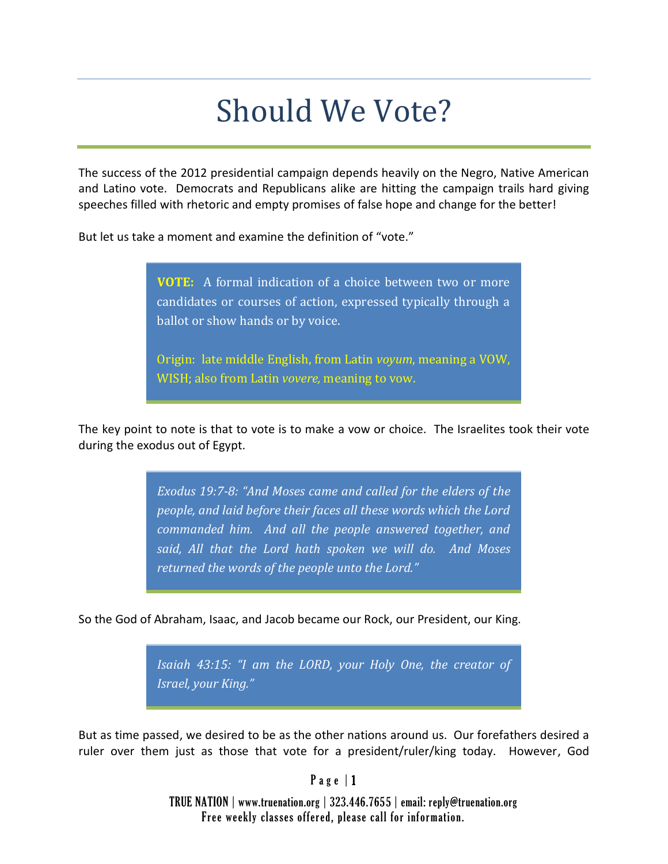## Should We Vote?

The success of the 2012 presidential campaign depends heavily on the Negro, Native American and Latino vote. Democrats and Republicans alike are hitting the campaign trails hard giving speeches filled with rhetoric and empty promises of false hope and change for the better!

But let us take a moment and examine the definition of "vote."

**VOTE:** A formal indication of a choice between two or more candidates or courses of action, expressed typically through a ballot or show hands or by voice.

Origin: late middle English, from Latin *voyum*, meaning a VOW, WISH; also from Latin *vovere,* meaning to vow.

The key point to note is that to vote is to make a vow or choice. The Israelites took their vote during the exodus out of Egypt.

> *Exodus 19:7-8: "And Moses came and called for the elders of the people, and laid before their faces all these words which the Lord commanded him. And all the people answered together, and said, All that the Lord hath spoken we will do. And Moses returned the words of the people unto the Lord."*

So the God of Abraham, Isaac, and Jacob became our Rock, our President, our King.

*Isaiah 43:15: "I am the LORD, your Holy One, the creator of Israel, your King."*

But as time passed, we desired to be as the other nations around us. Our forefathers desired a ruler over them just as those that vote for a president/ruler/king today. However, God

 $P$  a g e  $|1$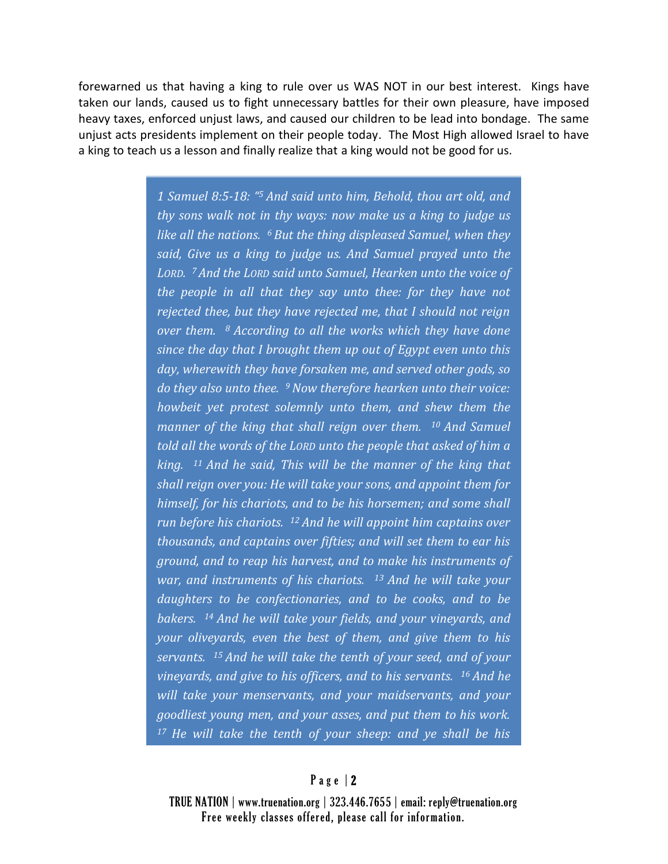forewarned us that having a king to rule over us WAS NOT in our best interest. Kings have taken our lands, caused us to fight unnecessary battles for their own pleasure, have imposed heavy taxes, enforced unjust laws, and caused our children to be lead into bondage. The same unjust acts presidents implement on their people today. The Most High allowed Israel to have a king to teach us a lesson and finally realize that a king would not be good for us.

> *1 Samuel 8:5-18: " <sup>5</sup> And said unto him, Behold, thou art old, and thy sons walk not in thy ways: now make us a king to judge us like all the nations. <sup>6</sup>But the thing displeased Samuel, when they said, Give us a king to judge us. And Samuel prayed unto the LORD. <sup>7</sup>And the LORD said unto Samuel, Hearken unto the voice of the people in all that they say unto thee: for they have not rejected thee, but they have rejected me, that I should not reign over them. <sup>8</sup>According to all the works which they have done since the day that I brought them up out of Egypt even unto this day, wherewith they have forsaken me, and served other gods, so do they also unto thee. <sup>9</sup>Now therefore hearken unto their voice: howbeit yet protest solemnly unto them, and shew them the manner of the king that shall reign over them. <sup>10</sup>And Samuel told all the words of the LORD unto the people that asked of him a king. <sup>11</sup>And he said, This will be the manner of the king that shall reign over you: He will take your sons, and appoint them for himself, for his chariots, and to be his horsemen; and some shall run before his chariots. <sup>12</sup>And he will appoint him captains over thousands, and captains over fifties; and will set them to ear his ground, and to reap his harvest, and to make his instruments of war, and instruments of his chariots. <sup>13</sup>And he will take your daughters to be confectionaries, and to be cooks, and to be bakers. <sup>14</sup>And he will take your fields, and your vineyards, and your oliveyards, even the best of them, and give them to his servants. <sup>15</sup>And he will take the tenth of your seed, and of your vineyards, and give to his officers, and to his servants. <sup>16</sup>And he will take your menservants, and your maidservants, and your goodliest young men, and your asses, and put them to his work. 17 He will take the tenth of your sheep: and ye shall be his*

## P a g e | 2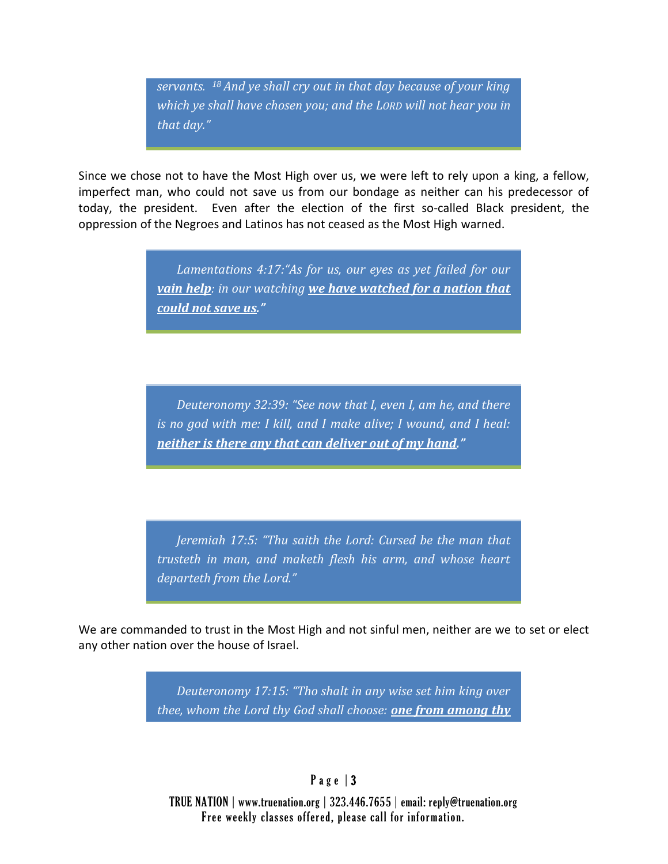*servants. <sup>18</sup>And ye shall cry out in that day because of your king which ye shall have chosen you; and the LORD will not hear you in that day."*

Since we chose not to have the Most High over us, we were left to rely upon a king, a fellow, imperfect man, who could not save us from our bondage as neither can his predecessor of today, the president. Even after the election of the first so-called Black president, the oppression of the Negroes and Latinos has not ceased as the Most High warned.

> *Lamentations 4:17:"As for us, our eyes as yet failed for our vain help: in our watching we have watched for a nation that could not save us."*

> *Deuteronomy 32:39: "See now that I, even I, am he, and there is no god with me: I kill, and I make alive; I wound, and I heal: neither is there any that can deliver out of my hand."*

> *Jeremiah 17:5: "Thu saith the Lord: Cursed be the man that trusteth in man, and maketh flesh his arm, and whose heart departeth from the Lord."*

We are commanded to trust in the Most High and not sinful men, neither are we to set or elect any other nation over the house of Israel.

> *Deuteronomy 17:15: "Tho shalt in any wise set him king over thee, whom the Lord thy God shall choose: one from among thy*

## P a g e | 3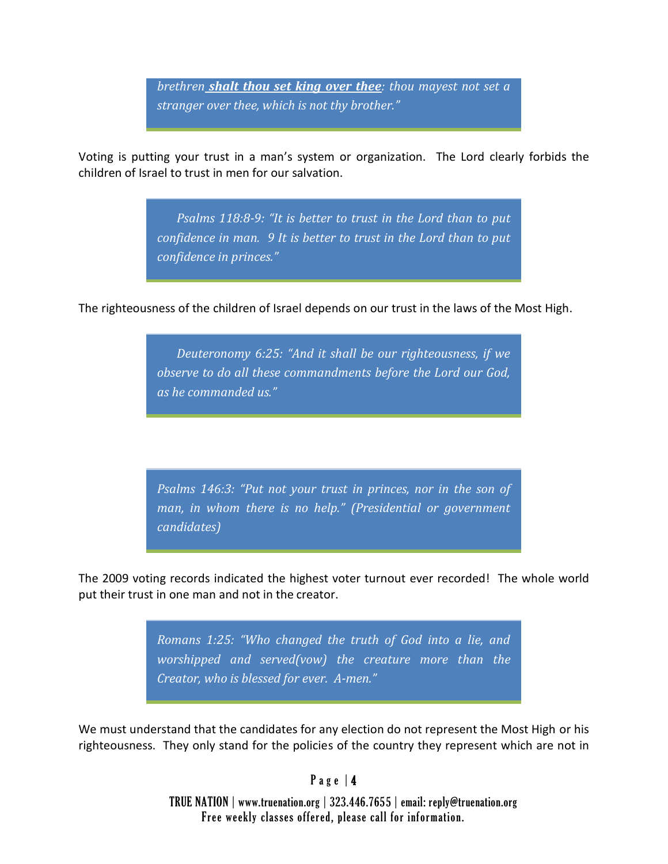*brethren shalt thou set king over thee: thou mayest not set a stranger over thee, which is not thy brother."* 

Voting is putting your trust in a man's system or organization. The Lord clearly forbids the children of Israel to trust in men for our salvation.

> *Psalms 118:8-9: "It is better to trust in the Lord than to put confidence in man. 9 It is better to trust in the Lord than to put confidence in princes."*

The righteousness of the children of Israel depends on our trust in the laws of the Most High.

*Deuteronomy 6:25: "And it shall be our righteousness, if we observe to do all these commandments before the Lord our God, as he commanded us."*

*Psalms 146:3: "Put not your trust in princes, nor in the son of man, in whom there is no help." (Presidential or government candidates)*

The 2009 voting records indicated the highest voter turnout ever recorded! The whole world put their trust in one man and not in the creator.

> *Romans 1:25: "Who changed the truth of God into a lie, and worshipped and served(vow) the creature more than the Creator, who is blessed for ever. A-men."*

We must understand that the candidates for any election do not represent the Most High or his righteousness. They only stand for the policies of the country they represent which are not in

## Page  $|4$